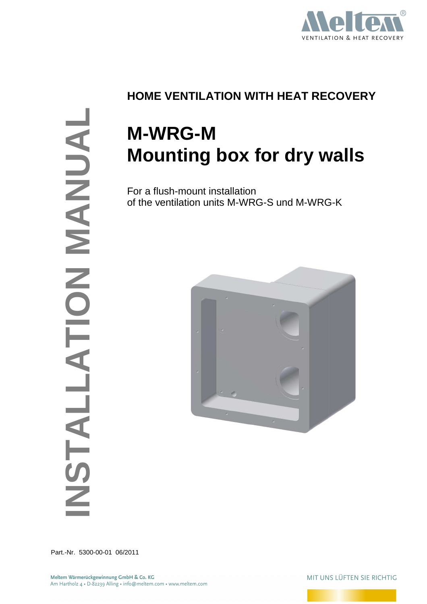

# **INSTALLATION MANUAL** ANNUAN NOL  $\overline{\mathbf{A}}$

## **HOME VENTILATION WITH HEAT RECOVERY**

# **M-WRG-M Mounting box for dry walls**

For a flush-mount installation of the ventilation units M-WRG-S und M-WRG-K



Part.-Nr. 5300-00-01 06/2011

MIT UNS LÜFTEN SIE RICHTIG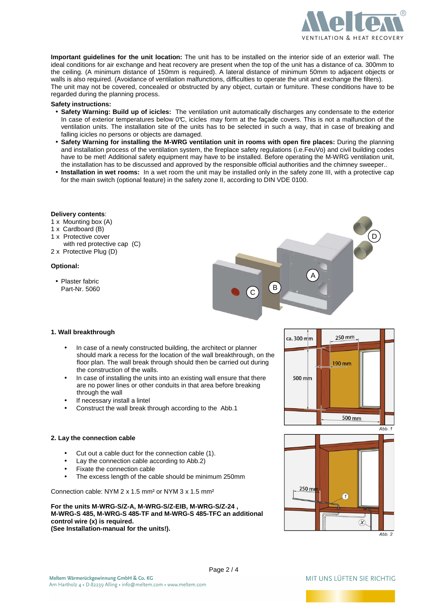

**Important guidelines for the unit location:** The unit has to be installed on the interior side of an exterior wall. The ideal conditions for air exchange and heat recovery are present when the top of the unit has a distance of ca. 300mm to the ceiling. (A minimum distance of 150mm is required). A lateral distance of minimum 50mm to adjacent objects or walls is also required. (Avoidance of ventilation malfunctions, difficulties to operate the unit and exchange the filters). The unit may not be covered, concealed or obstructed by any object, curtain or furniture. These conditions have to be regarded during the planning process.

### **Safety instructions:**

- **Safety Warning: Build up of icicles:** The ventilation unit automatically discharges any condensate to the exterior In case of exterior temperatures below 0°C, icicles may form at the façade covers. This is not a malfunction of the ventilation units. The installation site of the units has to be selected in such a way, that in case of breaking and falling icicles no persons or objects are damaged.
- **Safety Warning for installing the M-WRG ventilation unit in rooms with open fire places:** During the planning and installation process of the ventilation system, the fireplace safety regulations (i.e.FeuVo) and civil building codes have to be met! Additional safety equipment may have to be installed. Before operating the M-WRG ventilation unit, the installation has to be discussed and approved by the responsible official authorities and the chimney sweeper..
- **Installation in wet rooms:** In a wet room the unit may be installed only in the safety zone III, with a protective cap for the main switch (optional feature) in the safety zone II, according to DIN VDE 0100.

### **Delivery contents**:

- 1 x Mounting box (A)
- 1 x Cardboard (B)
- 1 x Protective cover
- with red protective cap (C) 2 x Protective Plug (D)

### **Optional:**

• Plaster fabric Part-Nr. 5060



### **1. Wall breakthrough**

- In case of a newly constructed building, the architect or planner should mark a recess for the location of the wall breakthrough, on the floor plan. The wall break through should then be carried out during the construction of the walls.
- In case of installing the units into an existing wall ensure that there are no power lines or other conduits in that area before breaking through the wall
- If necessary install a lintel
- Construct the wall break through according to the Abb.1

### **2. Lay the connection cable**

- Cut out a cable duct for the connection cable (1).
- Lay the connection cable according to Abb.2)
- Fixate the connection cable
- The excess length of the cable should be minimum 250mm

Connection cable: NYM 2 x 1.5 mm² or NYM 3 x 1.5 mm²

**For the units M-WRG-S/Z-A, M-WRG-S/Z-EIB, M-WRG-S/Z-24 , M-WRG-S 485, M-WRG-S 485-TF and M-WRG-S 485-TFC an additional control wire (x) is required. (See Installation-manual for the units!).** 





Page 2 / 4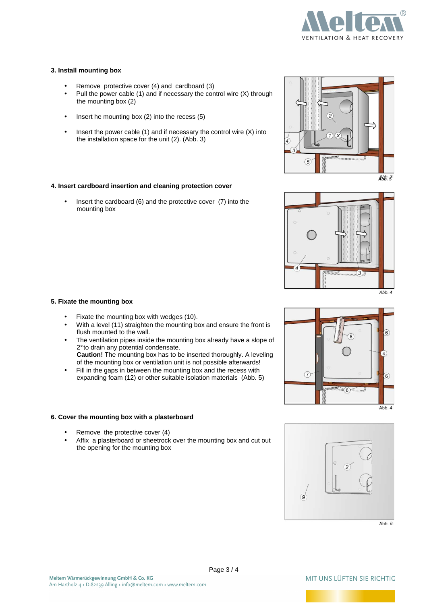

### **3. Install mounting box**

- Remove protective cover (4) and cardboard (3)
- Pull the power cable (1) and if necessary the control wire (X) through the mounting box (2)
- Insert he mounting box (2) into the recess (5)
- Insert the power cable  $(1)$  and if necessary the control wire  $(X)$  into the installation space for the unit (2). (Abb. 3)

### **4. Insert cardboard insertion and cleaning protection cover**

• Insert the cardboard (6) and the protective cover (7) into the mounting box



- Fixate the mounting box with wedges (10).
- With a level (11) straighten the mounting box and ensure the front is flush mounted to the wall.
- The ventilation pipes inside the mounting box already have a slope of 2° to drain any potential condensate. **Caution!** The mounting box has to be inserted thoroughly. A leveling
- of the mounting box or ventilation unit is not possible afterwards! • Fill in the gaps in between the mounting box and the recess with expanding foam (12) or other suitable isolation materials (Abb. 5)

### **6. Cover the mounting box with a plasterboard**

- Remove the protective cover (4)
- Affix a plasterboard or sheetrock over the mounting box and cut out the opening for the mounting box









 $Abb.6$ 

### MIT UNS LÜFTEN SIF RICHTIG